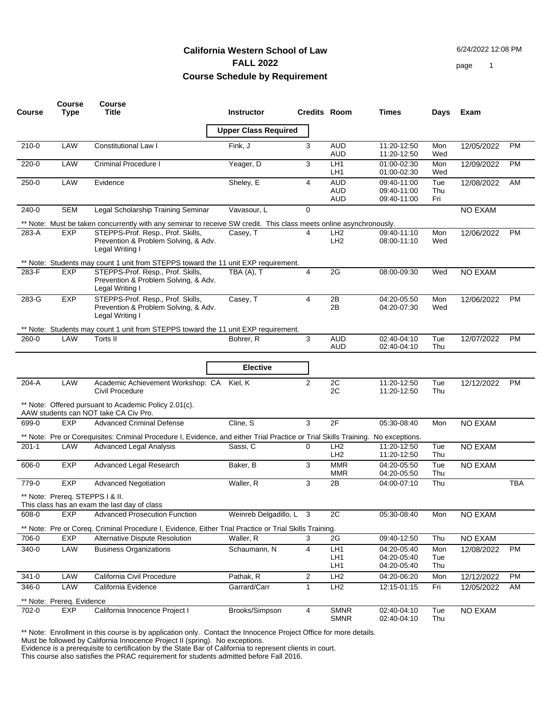6/24/2022 12:08 PM

page 1

| Course    | <b>Course</b><br><b>Type</b>            | <b>Course</b><br><b>Title</b>                                                                                                    | <b>Instructor</b>           | <b>Credits Room</b> |                                        | Times                                     | Days              | Exam           |            |
|-----------|-----------------------------------------|----------------------------------------------------------------------------------------------------------------------------------|-----------------------------|---------------------|----------------------------------------|-------------------------------------------|-------------------|----------------|------------|
|           |                                         |                                                                                                                                  | <b>Upper Class Required</b> |                     |                                        |                                           |                   |                |            |
| $210 - 0$ | LAW                                     | Constitutional Law I                                                                                                             | Fink, J                     | 3                   | AUD<br>AUD                             | 11:20-12:50<br>11:20-12:50                | Mon<br>Wed        | 12/05/2022     | <b>PM</b>  |
| $220 - 0$ | LAW                                     | <b>Criminal Procedure I</b>                                                                                                      | Yeager, D                   | 3                   | LH <sub>1</sub><br>LH1                 | 01:00-02:30<br>01:00-02:30                | Mon<br>Wed        | 12/09/2022     | <b>PM</b>  |
| $250 - 0$ | LAW                                     | Evidence                                                                                                                         | Sheley, E                   | 4                   | <b>AUD</b><br><b>AUD</b><br><b>AUD</b> | 09:40-11:00<br>09:40-11:00<br>09:40-11:00 | Tue<br>Thu<br>Fri | 12/08/2022     | AM         |
| 240-0     | <b>SEM</b>                              | Legal Scholarship Training Seminar                                                                                               | Vavasour, L                 | 0                   |                                        |                                           |                   | NO EXAM        |            |
|           |                                         | ** Note: Must be taken concurrently with any seminar to receive SW credit. This class meets online asynchronously.               |                             |                     |                                        |                                           |                   |                |            |
| 283-A     | <b>EXP</b>                              | STEPPS-Prof. Resp., Prof. Skills,<br>Prevention & Problem Solving, & Adv.<br>Legal Writing I                                     | Casey, T                    | 4                   | LH <sub>2</sub><br>LH <sub>2</sub>     | 09:40-11:10<br>08:00-11:10                | Mon<br>Wed        | 12/06/2022     | <b>PM</b>  |
|           |                                         | ** Note: Students may count 1 unit from STEPPS toward the 11 unit EXP requirement.                                               |                             |                     |                                        |                                           |                   |                |            |
| 283-F     | <b>EXP</b>                              | STEPPS-Prof. Resp., Prof. Skills,<br>Prevention & Problem Solving, & Adv.<br>Legal Writing I                                     | TBA (A), T                  | 4                   | 2G                                     | 08:00-09:30                               | Wed               | NO EXAM        |            |
| $283-G$   | <b>EXP</b>                              | STEPPS-Prof. Resp., Prof. Skills,<br>Prevention & Problem Solving, & Adv.<br>Legal Writing I                                     | Casey, T                    | 4                   | 2B<br>2B                               | 04:20-05:50<br>04:20-07:30                | Mon<br>Wed        | 12/06/2022     | <b>PM</b>  |
|           |                                         | ** Note: Students may count 1 unit from STEPPS toward the 11 unit EXP requirement.                                               |                             |                     |                                        |                                           |                   |                |            |
| $260 - 0$ | LAW                                     | Torts II                                                                                                                         | Bohrer, R                   | 3                   | <b>AUD</b><br>AUD                      | $02:40-04:10$<br>02:40-04:10              | Tue<br>Thu        | 12/07/2022     | <b>PM</b>  |
|           |                                         |                                                                                                                                  | <b>Elective</b>             |                     |                                        |                                           |                   |                |            |
| 204-A     | LAW                                     | Academic Achievement Workshop: CA Kiel, K<br>Civil Procedure                                                                     |                             | $\overline{2}$      | 2C<br>2C                               | 11:20-12:50<br>11:20-12:50                | Tue<br>Thu        | 12/12/2022     | <b>PM</b>  |
|           |                                         | ** Note: Offered pursuant to Academic Policy 2.01(c).<br>AAW students can NOT take CA Civ Pro.                                   |                             |                     |                                        |                                           |                   |                |            |
| 699-0     | <b>EXP</b>                              | <b>Advanced Criminal Defense</b>                                                                                                 | Cline, S                    | 3                   | 2F                                     | 05:30-08:40                               | Mon               | <b>NO EXAM</b> |            |
|           |                                         | ** Note: Pre or Corequisites: Criminal Procedure I, Evidence, and either Trial Practice or Trial Skills Training. No exceptions. |                             |                     |                                        |                                           |                   |                |            |
| $201 - 1$ | LAW                                     | <b>Advanced Legal Analysis</b>                                                                                                   | Sassi, C                    | 0                   | LH <sub>2</sub><br>LH <sub>2</sub>     | 11:20-12:50<br>11:20-12:50                | Tue<br>Thu        | NO EXAM        |            |
| 606-0     | <b>EXP</b>                              | Advanced Legal Research                                                                                                          | Baker, B                    | 3                   | <b>MMR</b>                             | 04:20-05:50                               | Tue               | NO EXAM        |            |
|           |                                         |                                                                                                                                  |                             |                     | <b>MMR</b>                             | 04:20-05:50                               | Thu               |                |            |
| 779-0     | <b>EXP</b>                              | <b>Advanced Negotiation</b>                                                                                                      | Waller, R                   | 3                   | 2B                                     | 04:00-07:10                               | Thu               |                | <b>TBA</b> |
|           | ** Note: Prereq. STEPPS I & II.         | This class has an exam the last day of class                                                                                     |                             |                     |                                        |                                           |                   |                |            |
| $608 - 0$ | <b>EXP</b>                              | <b>Advanced Prosecution Function</b>                                                                                             | Weinreb Delgadillo, L 3     |                     | 2C                                     | 05:30-08:40                               | Mon               | <b>NO EXAM</b> |            |
|           |                                         | ** Note: Pre or Coreq. Criminal Procedure I, Evidence, Either Trial Practice or Trial Skills Training.                           |                             |                     |                                        |                                           |                   |                |            |
| 706-0     | <b>EXP</b>                              | Alternative Dispute Resolution                                                                                                   | Waller, R                   | 3                   | 2G                                     | 09:40-12:50                               | Thu               | NO EXAM        |            |
| 340-0     | LAW                                     | <b>Business Organizations</b>                                                                                                    | Schaumann, N                | 4                   | LH1                                    | 04:20-05:40                               | Mon               | 12/08/2022     | PM         |
|           |                                         |                                                                                                                                  |                             |                     | LH <sub>1</sub><br>LH1                 | 04:20-05:40<br>04:20-05:40                | Tue<br>Thu        |                |            |
| $341 - 0$ | LAW                                     | California Civil Procedure                                                                                                       | Pathak, R                   | 2                   | LH <sub>2</sub>                        | 04:20-06:20                               | Mon               | 12/12/2022     | PM         |
| 346-0     | LAW                                     | California Evidence                                                                                                              | Garrard/Carr                | $\mathbf{1}$        | LH <sub>2</sub>                        | 12:15-01:15                               | Fri               | 12/05/2022     | AM         |
|           |                                         |                                                                                                                                  |                             |                     |                                        |                                           |                   |                |            |
| 702-0     | ** Note: Prereq. Evidence<br><b>EXP</b> | California Innocence Project I                                                                                                   | Brooks/Simpson              | 4                   | <b>SMNR</b>                            | 02:40-04:10                               | Tue               | NO EXAM        |            |
|           |                                         |                                                                                                                                  |                             |                     | <b>SMNR</b>                            | 02:40-04:10                               | Thu               |                |            |

\*\* Note: Enrollment in this course is by application only. Contact the Innocence Project Office for more details.

Must be followed by California Innocence Project II (spring). No exceptions.

Evidence is a prerequisite to certification by the State Bar of California to represent clients in court.

This course also satisfies the PRAC requirement for students admitted before Fall 2016.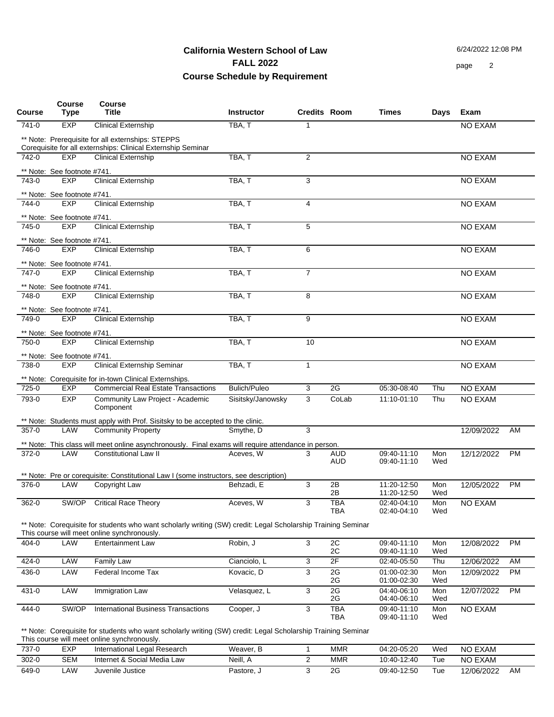6/24/2022 12:08 PM

page 2

| Course    | Course<br><b>Type</b>       | <b>Course</b><br><b>Title</b>                                                                                     | <b>Instructor</b>   | <b>Credits Room</b> |                     | Times                      | Days       | Exam           |           |
|-----------|-----------------------------|-------------------------------------------------------------------------------------------------------------------|---------------------|---------------------|---------------------|----------------------------|------------|----------------|-----------|
| 741-0     | <b>EXP</b>                  | <b>Clinical Externship</b>                                                                                        | TBA, T              | $\mathbf{1}$        |                     |                            |            | NO EXAM        |           |
|           |                             | ** Note: Prerequisite for all externships: STEPPS<br>Corequisite for all externships: Clinical Externship Seminar |                     |                     |                     |                            |            |                |           |
| 742-0     | <b>EXP</b>                  | <b>Clinical Externship</b>                                                                                        | TBA, T              | 2                   |                     |                            |            | NO EXAM        |           |
|           | ** Note: See footnote #741. |                                                                                                                   |                     |                     |                     |                            |            |                |           |
| 743-0     | <b>EXP</b>                  | <b>Clinical Externship</b>                                                                                        | TBA, T              | 3                   |                     |                            |            | <b>NO EXAM</b> |           |
|           | ** Note: See footnote #741. |                                                                                                                   |                     |                     |                     |                            |            |                |           |
| 744-0     | <b>EXP</b>                  | <b>Clinical Externship</b>                                                                                        | TBA, T              | 4                   |                     |                            |            | <b>NO EXAM</b> |           |
|           | ** Note: See footnote #741. |                                                                                                                   |                     |                     |                     |                            |            |                |           |
| 745-0     | <b>EXP</b>                  | <b>Clinical Externship</b>                                                                                        | TBA, T              | 5                   |                     |                            |            | <b>NO EXAM</b> |           |
|           | ** Note: See footnote #741. |                                                                                                                   |                     |                     |                     |                            |            |                |           |
| 746-0     | <b>EXP</b>                  | <b>Clinical Externship</b>                                                                                        | TBA, T              | 6                   |                     |                            |            | <b>NO EXAM</b> |           |
|           | ** Note: See footnote #741. |                                                                                                                   |                     |                     |                     |                            |            |                |           |
| 747-0     | <b>EXP</b>                  | <b>Clinical Externship</b>                                                                                        | TBA, T              | $\overline{7}$      |                     |                            |            | <b>NO EXAM</b> |           |
|           | ** Note: See footnote #741. |                                                                                                                   |                     |                     |                     |                            |            |                |           |
| 748-0     | <b>EXP</b>                  | <b>Clinical Externship</b>                                                                                        | TBA, T              | 8                   |                     |                            |            | <b>NO EXAM</b> |           |
|           | ** Note: See footnote #741. |                                                                                                                   |                     |                     |                     |                            |            |                |           |
| 749-0     | <b>EXP</b>                  | <b>Clinical Externship</b>                                                                                        | TBA, T              | 9                   |                     |                            |            | <b>NO EXAM</b> |           |
|           | ** Note: See footnote #741. |                                                                                                                   |                     |                     |                     |                            |            |                |           |
| 750-0     | <b>EXP</b>                  | <b>Clinical Externship</b>                                                                                        | TBA, T              | 10                  |                     |                            |            | <b>NO EXAM</b> |           |
|           | ** Note: See footnote #741. |                                                                                                                   |                     |                     |                     |                            |            |                |           |
| 738-0     | <b>EXP</b>                  | <b>Clinical Externship Seminar</b>                                                                                | TBA, T              | $\mathbf{1}$        |                     |                            |            | <b>NO EXAM</b> |           |
|           |                             | ** Note: Corequisite for in-town Clinical Externships.                                                            |                     |                     |                     |                            |            |                |           |
| 725-0     | <b>EXP</b>                  | <b>Commercial Real Estate Transactions</b>                                                                        | <b>Bulich/Puleo</b> | 3                   | 2G                  | 05:30-08:40                | Thu        | <b>NO EXAM</b> |           |
| 793-0     | <b>EXP</b>                  | Community Law Project - Academic                                                                                  | Sisitsky/Janowsky   | 3                   | CoLab               | 11:10-01:10                | Thu        | <b>NO EXAM</b> |           |
|           |                             | Component                                                                                                         |                     |                     |                     |                            |            |                |           |
|           |                             | ** Note: Students must apply with Prof. Sisitsky to be accepted to the clinic.                                    |                     |                     |                     |                            |            |                |           |
| $357 - 0$ | LAW                         | <b>Community Property</b>                                                                                         | Smythe, D           | 3                   |                     |                            |            | 12/09/2022     | AM        |
|           |                             | ** Note: This class will meet online asynchronously. Final exams will require attendance in person.               |                     |                     |                     |                            |            |                |           |
| $372 - 0$ | LAW                         | <b>Constitutional Law II</b>                                                                                      | Aceves, W           | 3                   | <b>AUD</b>          | 09:40-11:10                | Mon        | 12/12/2022     | <b>PM</b> |
|           |                             |                                                                                                                   |                     |                     | AUD                 | 09:40-11:10                | Wed        |                |           |
|           |                             |                                                                                                                   |                     |                     |                     |                            |            |                |           |
|           |                             | ** Note: Pre or corequisite: Constitutional Law I (some instructors, see description)                             |                     |                     |                     |                            |            |                |           |
| 376-0     | LAW                         | Copyright Law                                                                                                     | Behzadi, E          | 3                   | 2B<br>2B            | 11:20-12:50<br>11:20-12:50 | Mon<br>Wed | 12/05/2022     | <b>PM</b> |
| 362-0     | SW/OP                       | <b>Critical Race Theory</b>                                                                                       | Aceves, W           | 3                   | <b>TBA</b>          | 02:40-04:10                | Mon        | <b>NO EXAM</b> |           |
|           |                             |                                                                                                                   |                     |                     | TBA                 | 02:40-04:10                | Wed        |                |           |
|           |                             | ** Note: Corequisite for students who want scholarly writing (SW) credit: Legal Scholarship Training Seminar      |                     |                     |                     |                            |            |                |           |
|           |                             | This course will meet online synchronously.                                                                       |                     |                     |                     |                            |            |                |           |
| 404-0     | LAW                         | <b>Entertainment Law</b>                                                                                          | Robin, J            | 3                   | 2C<br>2C            | 09:40-11:10<br>09:40-11:10 | Mon<br>Wed | 12/08/2022     | PM        |
| 424-0     | LAW                         | Family Law                                                                                                        | Cianciolo, L        | 3                   | 2F                  | 02:40-05:50                | Thu        | 12/06/2022     | AM        |
| 436-0     | LAW                         | Federal Income Tax                                                                                                | Kovacic, D          | 3                   | 2G                  | 01:00-02:30                | Mon        | 12/09/2022     | PM        |
|           |                             |                                                                                                                   |                     |                     | 2G                  | 01:00-02:30                | Wed        |                |           |
| 431-0     | LAW                         | Immigration Law                                                                                                   | Velasquez, L        | 3                   | 2G<br>$2\mathsf{G}$ | 04:40-06:10<br>04:40-06:10 | Mon<br>Wed | 12/07/2022     | PM        |
| 444-0     | SW/OP                       | <b>International Business Transactions</b>                                                                        | Cooper, J           | 3                   | <b>TBA</b>          | 09:40-11:10                | Mon        | NO EXAM        |           |
|           |                             |                                                                                                                   |                     |                     | TBA                 | 09:40-11:10                | Wed        |                |           |

#### \*\* Note: Corequisite for students who want scholarly writing (SW) credit: Legal Scholarship Training Seminar This course will meet online synchronously.

| 737-0     | <b>EXP</b> | International Legal Research | Weaver, B  | MMR | 04:20-05:20 | Wed       | NO EXAM          |
|-----------|------------|------------------------------|------------|-----|-------------|-----------|------------------|
| $302 - 0$ | <b>SEM</b> | Internet & Social Media Law  | Neill. A   | MMR | 10:40-12:40 | $\tau$ ue | NO EXAM          |
| 649-0     | .AW        | Juvenile Justice             | Pastore, J | 2G  | 09:40-12:50 | $\tau$ ue | AM<br>12/06/2022 |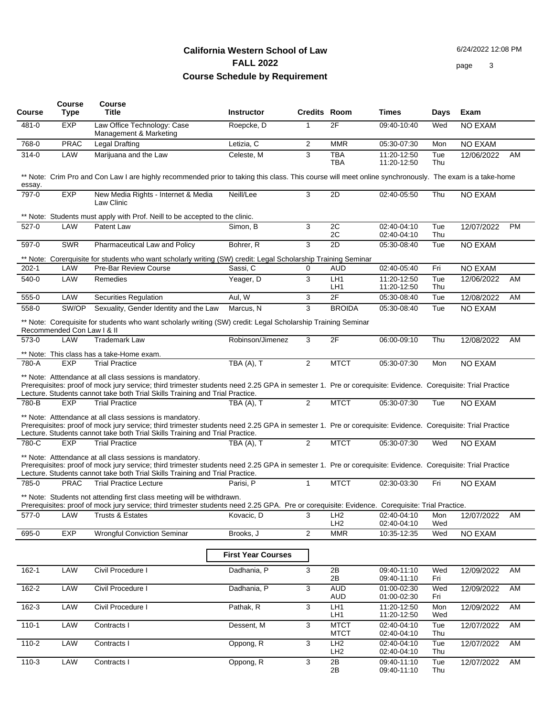6/24/2022 12:08 PM

page 3

| <b>Course</b> | <b>Course</b><br><b>Type</b> | <b>Course</b><br><b>Title</b>                                                                                                                                                                                                                                                                          | <b>Instructor</b>         | <b>Credits Room</b> |                                    | Times                        | Days       | Exam           |           |
|---------------|------------------------------|--------------------------------------------------------------------------------------------------------------------------------------------------------------------------------------------------------------------------------------------------------------------------------------------------------|---------------------------|---------------------|------------------------------------|------------------------------|------------|----------------|-----------|
| 481-0         | <b>EXP</b>                   | Law Office Technology: Case<br>Management & Marketing                                                                                                                                                                                                                                                  | Roepcke, D                | 1                   | 2F                                 | 09:40-10:40                  | Wed        | <b>NO EXAM</b> |           |
| 768-0         | <b>PRAC</b>                  | <b>Legal Drafting</b>                                                                                                                                                                                                                                                                                  | Letizia, C                | 2                   | <b>MMR</b>                         | 05:30-07:30                  | Mon        | <b>NO EXAM</b> |           |
| 314-0         | LAW                          | Marijuana and the Law                                                                                                                                                                                                                                                                                  | Celeste, M                | 3                   | <b>TBA</b><br><b>TBA</b>           | 11:20-12:50<br>11:20-12:50   | Tue<br>Thu | 12/06/2022     | AM        |
| essay.        |                              | ** Note: Crim Pro and Con Law I are highly recommended prior to taking this class. This course will meet online synchronously. The exam is a take-home                                                                                                                                                 |                           |                     |                                    |                              |            |                |           |
| 797-0         | <b>EXP</b>                   | New Media Rights - Internet & Media<br>Law Clinic                                                                                                                                                                                                                                                      | Neill/Lee                 | 3                   | 2D                                 | 02:40-05:50                  | Thu        | <b>NO EXAM</b> |           |
|               |                              | ** Note: Students must apply with Prof. Neill to be accepted to the clinic.                                                                                                                                                                                                                            |                           |                     |                                    |                              |            |                |           |
| $527 - 0$     | LAW                          | Patent Law                                                                                                                                                                                                                                                                                             | Simon, B                  | 3                   | 2C<br>2C                           | 02:40-04:10<br>02:40-04:10   | Tue<br>Thu | 12/07/2022     | <b>PM</b> |
| 597-0         | <b>SWR</b>                   | Pharmaceutical Law and Policy                                                                                                                                                                                                                                                                          | Bohrer, R                 | 3                   | 2D                                 | 05:30-08:40                  | Tue        | <b>NO EXAM</b> |           |
|               |                              | ** Note: Corerquisite for students who want scholarly writing (SW) credit: Legal Scholarship Training Seminar                                                                                                                                                                                          |                           |                     |                                    |                              |            |                |           |
| $202 - 1$     | LAW                          | Pre-Bar Review Course                                                                                                                                                                                                                                                                                  | Sassi, C                  | 0                   | <b>AUD</b>                         | 02:40-05:40                  | Fri        | <b>NO EXAM</b> |           |
| 540-0         | LAW                          | Remedies                                                                                                                                                                                                                                                                                               | Yeager, D                 | 3                   | LH1<br>LH1                         | 11:20-12:50<br>11:20-12:50   | Tue<br>Thu | 12/06/2022     | AM        |
| 555-0         | LAW                          | <b>Securities Regulation</b>                                                                                                                                                                                                                                                                           | Aul, W                    | 3                   | 2F                                 | 05:30-08:40                  | Tue        | 12/08/2022     | AM        |
| 558-0         | SW/OP                        | Sexuality, Gender Identity and the Law                                                                                                                                                                                                                                                                 | Marcus, N                 | 3                   | <b>BROIDA</b>                      | 05:30-08:40                  | Tue        | <b>NO EXAM</b> |           |
|               | Recommended Con Law I & II   | ** Note: Corequisite for students who want scholarly writing (SW) credit: Legal Scholarship Training Seminar                                                                                                                                                                                           |                           |                     |                                    |                              |            |                |           |
| 573-0         | LAW                          | <b>Trademark Law</b>                                                                                                                                                                                                                                                                                   | Robinson/Jimenez          | 3                   | 2F                                 | 06:00-09:10                  | Thu        | 12/08/2022     | AM        |
|               |                              | ** Note: This class has a take-Home exam.                                                                                                                                                                                                                                                              |                           |                     |                                    |                              |            |                |           |
| 780-A         | <b>EXP</b>                   | <b>Trial Practice</b>                                                                                                                                                                                                                                                                                  | TBA (A), T                | 2                   | <b>MTCT</b>                        | 05:30-07:30                  | Mon        | <b>NO EXAM</b> |           |
|               |                              | ** Note: Atttendance at all class sessions is mandatory.<br>Prerequisites: proof of mock jury service; third trimester students need 2.25 GPA in semester 1. Pre or corequisite: Evidence. Corequisite: Trial Practice<br>Lecture. Students cannot take both Trial Skills Training and Trial Practice. |                           |                     |                                    |                              |            |                |           |
| 780-B         | <b>EXP</b>                   | <b>Trial Practice</b>                                                                                                                                                                                                                                                                                  | TBA (A), T                | $\overline{2}$      | <b>MTCT</b>                        | 05:30-07:30                  | Tue        | <b>NO EXAM</b> |           |
|               |                              | ** Note: Atttendance at all class sessions is mandatory.<br>Prerequisites: proof of mock jury service; third trimester students need 2.25 GPA in semester 1. Pre or corequisite: Evidence. Corequisite: Trial Practice<br>Lecture. Students cannot take both Trial Skills Training and Trial Practice. |                           |                     |                                    |                              |            |                |           |
| 780-C         | <b>EXP</b>                   | <b>Trial Practice</b>                                                                                                                                                                                                                                                                                  | TBA (A), T                | $\overline{2}$      | <b>MTCT</b>                        | 05:30-07:30                  | Wed        | <b>NO EXAM</b> |           |
|               |                              | ** Note: Atttendance at all class sessions is mandatory.<br>Prerequisites: proof of mock jury service; third trimester students need 2.25 GPA in semester 1. Pre or corequisite: Evidence. Corequisite: Trial Practice<br>Lecture. Students cannot take both Trial Skills Training and Trial Practice. |                           |                     |                                    |                              |            |                |           |
| 785-0         | <b>PRAC</b>                  | <b>Trial Practice Lecture</b>                                                                                                                                                                                                                                                                          | Parisi, P                 | $\mathbf{1}$        | <b>MTCT</b>                        | 02:30-03:30                  | Fri        | <b>NO EXAM</b> |           |
|               |                              | ** Note: Students not attending first class meeting will be withdrawn.<br>Prerequisites: proof of mock jury service; third trimester students need 2.25 GPA. Pre or corequisite: Evidence. Corequisite: Trial Practice                                                                                 |                           |                     |                                    |                              |            |                |           |
| $577-0$       | LAW                          | <b>Trusts &amp; Estates</b>                                                                                                                                                                                                                                                                            | Kovacic, D                | 3                   | LH <sub>2</sub><br>LH <sub>2</sub> | 02:40-04:10<br>02:40-04:10   | Mon<br>Wed | 12/07/2022     | AM        |
| $695 - 0$     | <b>EXP</b>                   | <b>Wrongful Conviction Seminar</b>                                                                                                                                                                                                                                                                     | Brooks, J                 | $\overline{2}$      | <b>MMR</b>                         | 10:35-12:35                  | Wed        | <b>NO EXAM</b> |           |
|               |                              |                                                                                                                                                                                                                                                                                                        | <b>First Year Courses</b> |                     |                                    |                              |            |                |           |
| 162-1         | LAW                          | Civil Procedure I                                                                                                                                                                                                                                                                                      | Dadhania, P               | 3                   | 2B<br>2Β                           | 09:40-11:10<br>09:40-11:10   | Wed<br>Fri | 12/09/2022     | AM        |
| 162-2         | LAW                          | Civil Procedure I                                                                                                                                                                                                                                                                                      | Dadhania, P               | 3                   | <b>AUD</b><br><b>AUD</b>           | 01:00-02:30<br>01:00-02:30   | Wed<br>Fri | 12/09/2022     | AM        |
| 162-3         | LAW                          | Civil Procedure I                                                                                                                                                                                                                                                                                      | Pathak, R                 | 3                   | LH1<br>LH1                         | 11:20-12:50<br>11:20-12:50   | Mon<br>Wed | 12/09/2022     | AM        |
| $110-1$       | LAW                          | Contracts I                                                                                                                                                                                                                                                                                            | Dessent, M                | 3                   | <b>MTCT</b><br><b>MTCT</b>         | 02:40-04:10<br>02:40-04:10   | Tue<br>Thu | 12/07/2022     | AM        |
| $110-2$       | LAW                          | Contracts I                                                                                                                                                                                                                                                                                            | Oppong, R                 | 3                   | LH <sub>2</sub><br>LH <sub>2</sub> | $02:40-04:10$<br>02:40-04:10 | Tue<br>Thu | 12/07/2022     | AM        |
| $110-3$       | LAW                          | Contracts I                                                                                                                                                                                                                                                                                            | Oppong, R                 | 3                   | 2B<br>$2\mathsf{B}$                | 09:40-11:10<br>09:40-11:10   | Tue<br>Thu | 12/07/2022     | AM        |